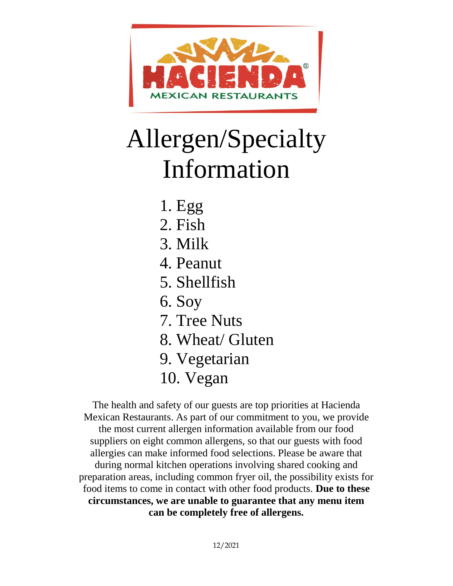

# Allergen/Specialty Information

- 1. Egg
- 2. Fish
- 3. Milk
- 4. Peanut
- 5. Shellfish
- 6. Soy
- 7. Tree Nuts
- 8. Wheat/ Gluten
- 9. Vegetarian
- 10. Vegan

The health and safety of our guests are top priorities at Hacienda Mexican Restaurants. As part of our commitment to you, we provide the most current allergen information available from our food suppliers on eight common allergens, so that our guests with food allergies can make informed food selections. Please be aware that during normal kitchen operations involving shared cooking and preparation areas, including common fryer oil, the possibility exists for food items to come in contact with other food products. **Due to these circumstances, we are unable to guarantee that any menu item can be completely free of allergens.**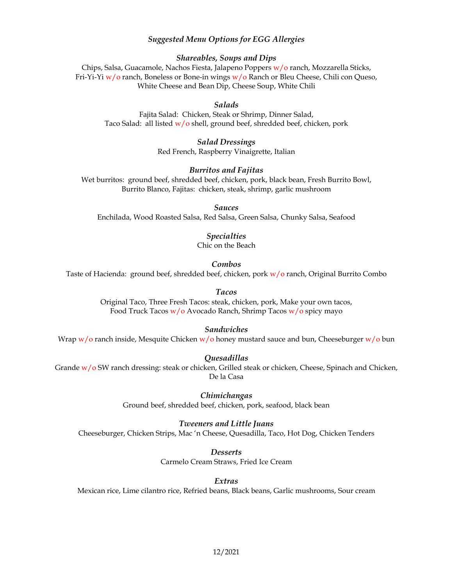## *Suggested Menu Options for EGG Allergies*

## *Shareables, Soups and Dips*

Chips, Salsa, Guacamole, Nachos Fiesta, Jalapeno Poppers w/o ranch, Mozzarella Sticks, Fri-Yi-Yi  $w$ /o ranch, Boneless or Bone-in wings  $w/$ o Ranch or Bleu Cheese, Chili con Queso, White Cheese and Bean Dip, Cheese Soup, White Chili

#### *Salads*

Fajita Salad: Chicken, Steak or Shrimp, Dinner Salad, Taco Salad: all listed  $w/o$  shell, ground beef, shredded beef, chicken, pork

> *Salad Dressings*  Red French, Raspberry Vinaigrette, Italian

#### *Burritos and Fajitas*

Wet burritos: ground beef, shredded beef, chicken, pork, black bean, Fresh Burrito Bowl, Burrito Blanco, Fajitas: chicken, steak, shrimp, garlic mushroom

*Sauces* 

Enchilada, Wood Roasted Salsa, Red Salsa, Green Salsa, Chunky Salsa, Seafood

## *Specialties*

Chic on the Beach

*Combos* 

Taste of Hacienda: ground beef, shredded beef, chicken, pork  $w/o$  ranch, Original Burrito Combo

*Tacos* 

Original Taco, Three Fresh Tacos: steak, chicken, pork, Make your own tacos, Food Truck Tacos w/o Avocado Ranch, Shrimp Tacos w/o spicy mayo

### *Sandwiches*

Wrap  $w/o$  ranch inside, Mesquite Chicken  $w/o$  honey mustard sauce and bun, Cheeseburger  $w/o$  bun

#### *Quesadillas*

Grande w/o SW ranch dressing: steak or chicken, Grilled steak or chicken, Cheese, Spinach and Chicken, De la Casa

> *Chimichangas*  Ground beef, shredded beef, chicken, pork, seafood, black bean

*Tweeners and Little Juans*  Cheeseburger, Chicken Strips, Mac 'n Cheese, Quesadilla, Taco, Hot Dog, Chicken Tenders

> *Desserts*  Carmelo Cream Straws, Fried Ice Cream

> > *Extras*

Mexican rice, Lime cilantro rice, Refried beans, Black beans, Garlic mushrooms, Sour cream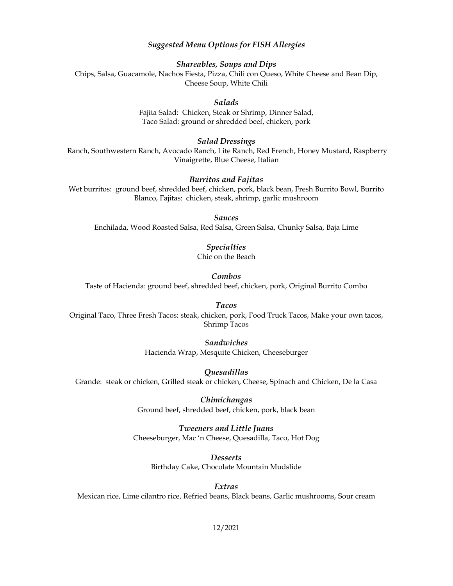## *Suggested Menu Options for FISH Allergies*

*Shareables, Soups and Dips*  Chips, Salsa, Guacamole, Nachos Fiesta, Pizza, Chili con Queso, White Cheese and Bean Dip, Cheese Soup, White Chili

## *Salads*

Fajita Salad: Chicken, Steak or Shrimp, Dinner Salad, Taco Salad: ground or shredded beef, chicken, pork

## *Salad Dressings*

Ranch, Southwestern Ranch, Avocado Ranch, Lite Ranch, Red French, Honey Mustard, Raspberry Vinaigrette, Blue Cheese, Italian

## *Burritos and Fajitas*

Wet burritos: ground beef, shredded beef, chicken, pork, black bean, Fresh Burrito Bowl, Burrito Blanco, Fajitas: chicken, steak, shrimp, garlic mushroom

*Sauces*  Enchilada, Wood Roasted Salsa, Red Salsa, Green Salsa, Chunky Salsa, Baja Lime

## *Specialties*

Chic on the Beach

#### *Combos*

Taste of Hacienda: ground beef, shredded beef, chicken, pork, Original Burrito Combo

## *Tacos*

Original Taco, Three Fresh Tacos: steak, chicken, pork, Food Truck Tacos, Make your own tacos, Shrimp Tacos

# *Sandwiches*

Hacienda Wrap, Mesquite Chicken, Cheeseburger

#### *Quesadillas*

Grande: steak or chicken, Grilled steak or chicken, Cheese, Spinach and Chicken, De la Casa

*Chimichangas*  Ground beef, shredded beef, chicken, pork, black bean

*Tweeners and Little Juans*  Cheeseburger, Mac 'n Cheese, Quesadilla, Taco, Hot Dog

*Desserts*  Birthday Cake, Chocolate Mountain Mudslide

*Extras*  Mexican rice, Lime cilantro rice, Refried beans, Black beans, Garlic mushrooms, Sour cream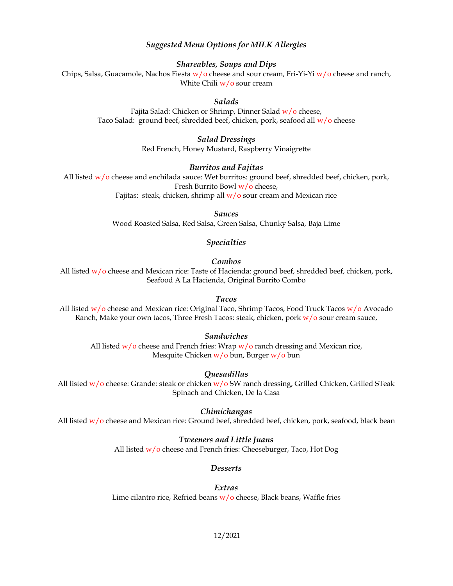## *Suggested Menu Options for MILK Allergies*

*Shareables, Soups and Dips* 

Chips, Salsa, Guacamole, Nachos Fiesta  $w$ /o cheese and sour cream, Fri-Yi-Yi  $w$ /o cheese and ranch, White Chili  $w/o$  sour cream

## *Salads*

Fajita Salad: Chicken or Shrimp, Dinner Salad w/o cheese, Taco Salad: ground beef, shredded beef, chicken, pork, seafood all w/o cheese

## *Salad Dressings*

Red French, Honey Mustard, Raspberry Vinaigrette

#### *Burritos and Fajitas*

All listed  $w/o$  cheese and enchilada sauce: Wet burritos: ground beef, shredded beef, chicken, pork, Fresh Burrito Bowl w/o cheese,

Fajitas: steak, chicken, shrimp all  $w/o$  sour cream and Mexican rice

#### *Sauces*

Wood Roasted Salsa, Red Salsa, Green Salsa, Chunky Salsa, Baja Lime

## *Specialties*

#### *Combos*

All listed w/o cheese and Mexican rice: Taste of Hacienda: ground beef, shredded beef, chicken, pork, Seafood A La Hacienda, Original Burrito Combo

#### *Tacos*

*A*ll listed w/o cheese and Mexican rice: Original Taco, Shrimp Tacos, Food Truck Tacos w/o Avocado Ranch, Make your own tacos, Three Fresh Tacos: steak, chicken, pork  $w/o$  sour cream sauce,

## *Sandwiches*

All listed  $w/o$  cheese and French fries: Wrap  $w/o$  ranch dressing and Mexican rice, Mesquite Chicken  $w/0$  bun, Burger  $w/0$  bun

## *Quesadillas*

All listed w/o cheese: Grande: steak or chicken w/o SW ranch dressing, Grilled Chicken, Grilled STeak Spinach and Chicken, De la Casa

## *Chimichangas*

All listed  $w/o$  cheese and Mexican rice: Ground beef, shredded beef, chicken, pork, seafood, black bean

## *Tweeners and Little Juans*  All listed  $w/o$  cheese and French fries: Cheeseburger, Taco, Hot Dog

## *Desserts*

#### *Extras*

Lime cilantro rice, Refried beans  $w/o$  cheese, Black beans, Waffle fries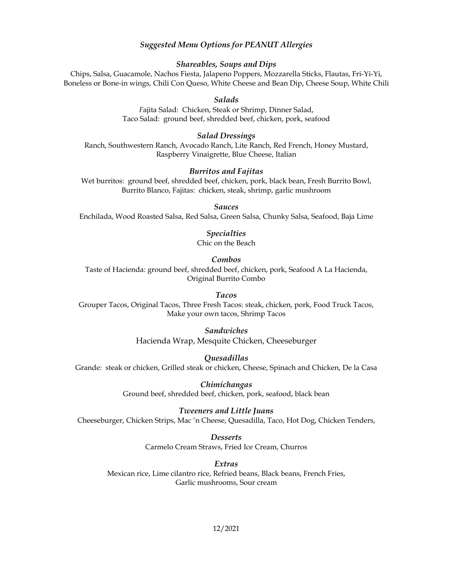## *Suggested Menu Options for PEANUT Allergies*

#### *Shareables, Soups and Dips*

Chips, Salsa, Guacamole, Nachos Fiesta, Jalapeno Poppers, Mozzarella Sticks, Flautas, Fri-Yi-Yi, Boneless or Bone-in wings, Chili Con Queso, White Cheese and Bean Dip, Cheese Soup, White Chili

## *Salads*

*F*ajita Salad: Chicken, Steak or Shrimp, Dinner Salad, Taco Salad: ground beef, shredded beef, chicken, pork, seafood

#### *Salad Dressings*

Ranch, Southwestern Ranch, Avocado Ranch, Lite Ranch, Red French, Honey Mustard, Raspberry Vinaigrette, Blue Cheese, Italian

#### *Burritos and Fajitas*

Wet burritos: ground beef, shredded beef, chicken, pork, black bean, Fresh Burrito Bowl, Burrito Blanco, Fajitas: chicken, steak, shrimp, garlic mushroom

### *Sauces*

Enchilada, Wood Roasted Salsa, Red Salsa, Green Salsa, Chunky Salsa, Seafood, Baja Lime

# *Specialties*

Chic on the Beach

## *Combos*

Taste of Hacienda: ground beef, shredded beef, chicken, pork, Seafood A La Hacienda, Original Burrito Combo

*Tacos* Grouper Tacos, Original Tacos, Three Fresh Tacos: steak, chicken, pork, Food Truck Tacos, Make your own tacos, Shrimp Tacos

> *Sandwiches*  Hacienda Wrap, Mesquite Chicken, Cheeseburger

*Quesadillas*  Grande: steak or chicken, Grilled steak or chicken, Cheese, Spinach and Chicken, De la Casa

> *Chimichangas*  Ground beef, shredded beef, chicken, pork, seafood, black bean

#### *Tweeners and Little Juans*

Cheeseburger, Chicken Strips, Mac 'n Cheese, Quesadilla, Taco, Hot Dog, Chicken Tenders,

*Desserts*  Carmelo Cream Straws, Fried Ice Cream, Churros

# *Extras*

Mexican rice, Lime cilantro rice, Refried beans, Black beans, French Fries, Garlic mushrooms, Sour cream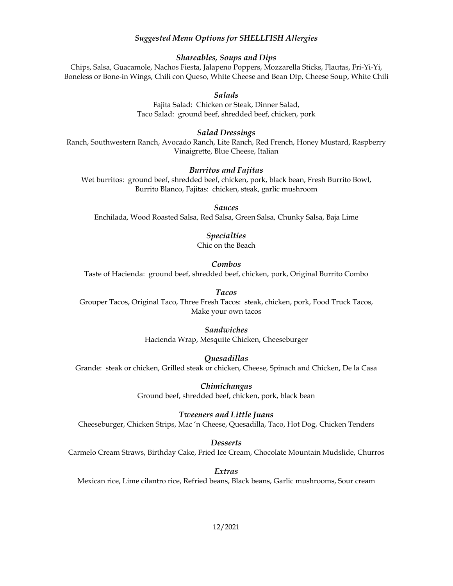## *Suggested Menu Options for SHELLFISH Allergies*

#### *Shareables, Soups and Dips*

Chips, Salsa, Guacamole, Nachos Fiesta, Jalapeno Poppers, Mozzarella Sticks, Flautas, Fri-Yi-Yi, Boneless or Bone-in Wings, Chili con Queso, White Cheese and Bean Dip, Cheese Soup, White Chili

#### *Salads*

Fajita Salad: Chicken or Steak, Dinner Salad, Taco Salad: ground beef, shredded beef, chicken, pork

#### *Salad Dressings*

Ranch, Southwestern Ranch, Avocado Ranch, Lite Ranch, Red French, Honey Mustard, Raspberry Vinaigrette, Blue Cheese, Italian

#### *Burritos and Fajitas*

Wet burritos: ground beef, shredded beef, chicken, pork, black bean, Fresh Burrito Bowl, Burrito Blanco, Fajitas: chicken, steak, garlic mushroom

*Sauces* 

Enchilada, Wood Roasted Salsa, Red Salsa, Green Salsa, Chunky Salsa, Baja Lime

## *Specialties*

Chic on the Beach

#### *Combos*

Taste of Hacienda: ground beef, shredded beef, chicken, pork, Original Burrito Combo

*Tacos* 

Grouper Tacos, Original Taco, Three Fresh Tacos: steak, chicken, pork, Food Truck Tacos, Make your own tacos

> *Sandwiches*  Hacienda Wrap, Mesquite Chicken, Cheeseburger

*Quesadillas*  Grande: steak or chicken, Grilled steak or chicken, Cheese, Spinach and Chicken, De la Casa

> *Chimichangas*  Ground beef, shredded beef, chicken, pork, black bean

## *Tweeners and Little Juans*  Cheeseburger, Chicken Strips, Mac 'n Cheese, Quesadilla, Taco, Hot Dog, Chicken Tenders

*Desserts* 

Carmelo Cream Straws, Birthday Cake, Fried Ice Cream, Chocolate Mountain Mudslide, Churros

*Extras*  Mexican rice, Lime cilantro rice, Refried beans, Black beans, Garlic mushrooms, Sour cream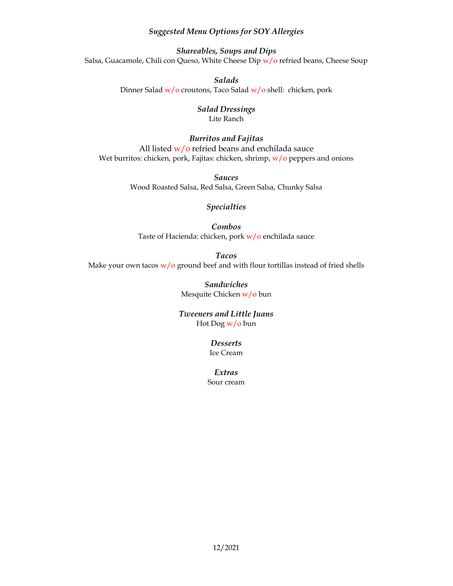## *Suggested Menu Options for SOY Allergies*

*Shareables, Soups and Dips*  Salsa, Guacamole, Chili con Queso, White Cheese Dip w/o refried beans, Cheese Soup

> *Salads*  Dinner Salad w/o croutons, Taco Salad w/o shell: chicken, pork

## *Salad Dressings*  Lite Ranch

*Burritos and Fajitas*  All listed  $w/o$  refried beans and enchilada sauce Wet burritos: chicken, pork, Fajitas: chicken, shrimp, w/o peppers and onions

> *Sauces* Wood Roasted Salsa, Red Salsa, Green Salsa, Chunky Salsa

## *Specialties*

*Combos* Taste of Hacienda: chicken, pork w/o enchilada sauce

*Tacos*  Make your own tacos  $w/o$  ground beef and with flour tortillas instead of fried shells

> *Sandwiches*  Mesquite Chicken w/o bun

*Tweeners and Little Juans*  Hot Dog w/o bun

> *Desserts*  Ice Cream

*Extras*  Sour cream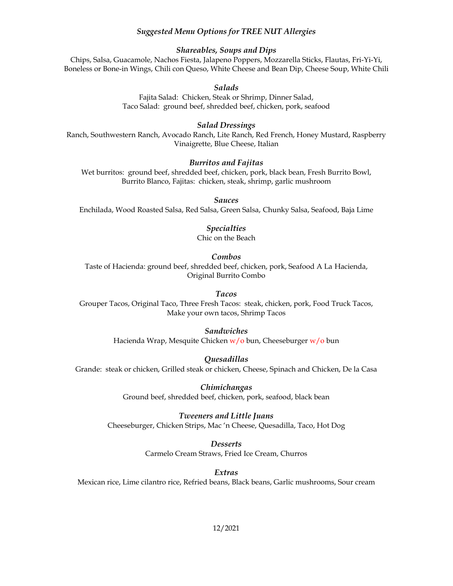## *Suggested Menu Options for TREE NUT Allergies*

#### *Shareables, Soups and Dips*

Chips, Salsa, Guacamole, Nachos Fiesta, Jalapeno Poppers, Mozzarella Sticks, Flautas, Fri-Yi-Yi, Boneless or Bone-in Wings, Chili con Queso, White Cheese and Bean Dip, Cheese Soup, White Chili

#### *Salads*

Fajita Salad: Chicken, Steak or Shrimp, Dinner Salad, Taco Salad: ground beef, shredded beef, chicken, pork, seafood

#### *Salad Dressings*

Ranch, Southwestern Ranch, Avocado Ranch, Lite Ranch, Red French, Honey Mustard, Raspberry Vinaigrette, Blue Cheese, Italian

## *Burritos and Fajitas*

Wet burritos: ground beef, shredded beef, chicken, pork, black bean, Fresh Burrito Bowl, Burrito Blanco, Fajitas: chicken, steak, shrimp, garlic mushroom

*Sauces* 

Enchilada, Wood Roasted Salsa, Red Salsa, Green Salsa, Chunky Salsa, Seafood, Baja Lime

#### *Specialties*

Chic on the Beach

## *Combos*

Taste of Hacienda: ground beef, shredded beef, chicken, pork, Seafood A La Hacienda, Original Burrito Combo

#### *Tacos*

Grouper Tacos, Original Taco, Three Fresh Tacos: steak, chicken, pork, Food Truck Tacos, Make your own tacos, Shrimp Tacos

## *Sandwiches*

Hacienda Wrap, Mesquite Chicken  $w/o$  bun, Cheeseburger  $w/o$  bun

#### *Quesadillas*

Grande: steak or chicken, Grilled steak or chicken, Cheese, Spinach and Chicken, De la Casa

*Chimichangas*  Ground beef, shredded beef, chicken, pork, seafood, black bean

# *Tweeners and Little Juans*

Cheeseburger, Chicken Strips, Mac 'n Cheese, Quesadilla, Taco, Hot Dog

*Desserts*  Carmelo Cream Straws, Fried Ice Cream, Churros

*Extras* 

Mexican rice, Lime cilantro rice, Refried beans, Black beans, Garlic mushrooms, Sour cream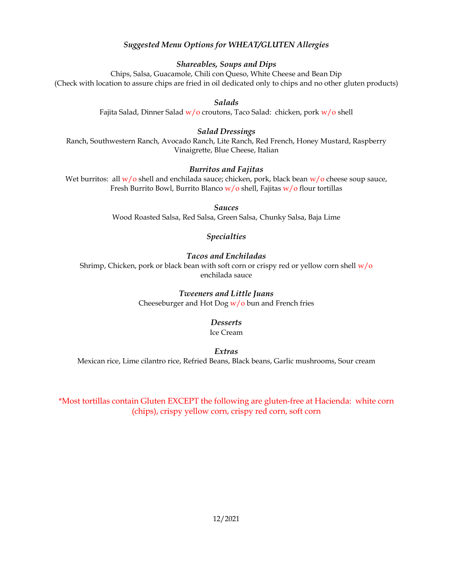# *Suggested Menu Options for WHEAT/GLUTEN Allergies*

## *Shareables, Soups and Dips*

Chips, Salsa, Guacamole, Chili con Queso, White Cheese and Bean Dip (Check with location to assure chips are fried in oil dedicated only to chips and no other gluten products)

*Salads* 

Fajita Salad, Dinner Salad  $w/o$  croutons, Taco Salad: chicken, pork  $w/o$  shell

## *Salad Dressings*

Ranch, Southwestern Ranch, Avocado Ranch, Lite Ranch, Red French, Honey Mustard, Raspberry Vinaigrette, Blue Cheese, Italian

## *Burritos and Fajitas*

Wet burritos: all  $w/o$  shell and enchilada sauce; chicken, pork, black bean  $w/o$  cheese soup sauce, Fresh Burrito Bowl, Burrito Blanco  $w/o$  shell, Fajitas  $w/o$  flour tortillas

*Sauces* 

Wood Roasted Salsa, Red Salsa, Green Salsa, Chunky Salsa, Baja Lime

## *Specialties*

## *Tacos and Enchiladas*

Shrimp, Chicken, pork or black bean with soft corn or crispy red or yellow corn shell  $w/o$ enchilada sauce

## *Tweeners and Little Juans*

Cheeseburger and Hot Dog  $w/o$  bun and French fries

## *Desserts*

Ice Cream

*Extras* 

Mexican rice, Lime cilantro rice, Refried Beans, Black beans, Garlic mushrooms, Sour cream

\*Most tortillas contain Gluten EXCEPT the following are gluten-free at Hacienda: white corn (chips), crispy yellow corn, crispy red corn, soft corn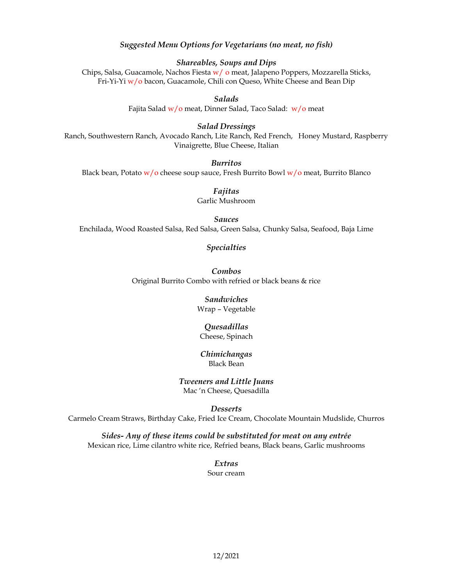## *Suggested Menu Options for Vegetarians (no meat, no fish)*

*Shareables, Soups and Dips* 

Chips, Salsa, Guacamole, Nachos Fiesta w/o meat, Jalapeno Poppers, Mozzarella Sticks, Fri-Yi-Yi w/o bacon, Guacamole, Chili con Queso, White Cheese and Bean Dip

*Salads* 

Fajita Salad w/o meat, Dinner Salad, Taco Salad: w/o meat

*Salad Dressings* 

Ranch, Southwestern Ranch, Avocado Ranch, Lite Ranch, Red French, Honey Mustard, Raspberry Vinaigrette, Blue Cheese, Italian

*Burritos* 

Black bean, Potato  $w/o$  cheese soup sauce, Fresh Burrito Bowl  $w/o$  meat, Burrito Blanco

*Fajitas*  Garlic Mushroom

*Sauces*  Enchilada, Wood Roasted Salsa, Red Salsa, Green Salsa, Chunky Salsa, Seafood, Baja Lime

*Specialties* 

*Combos*  Original Burrito Combo with refried or black beans & rice

> *Sandwiches*  Wrap – Vegetable

> > *Quesadillas*

Cheese, Spinach

*Chimichangas*  Black Bean

*Tweeners and Little Juans*  Mac 'n Cheese, Quesadilla

*Desserts* 

Carmelo Cream Straws, Birthday Cake, Fried Ice Cream, Chocolate Mountain Mudslide, Churros

*Sides- Any of these items could be substituted for meat on any entrée*  Mexican rice, Lime cilantro white rice, Refried beans, Black beans, Garlic mushrooms

> *Extras*  Sour cream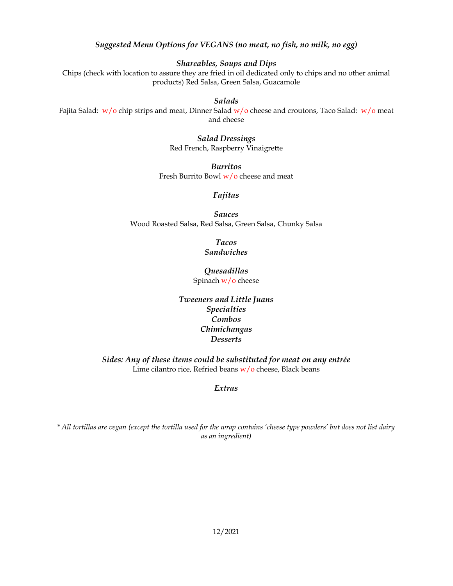## *Suggested Menu Options for VEGANS (no meat, no fish, no milk, no egg)*

## *Shareables, Soups and Dips*

Chips (check with location to assure they are fried in oil dedicated only to chips and no other animal products) Red Salsa, Green Salsa, Guacamole

## *Salads*

Fajita Salad:  $w/o$  chip strips and meat, Dinner Salad  $w/o$  cheese and croutons, Taco Salad:  $w/o$  meat and cheese

> *Salad Dressings*  Red French, Raspberry Vinaigrette

*Burritos*  Fresh Burrito Bowl w/o cheese and meat

## *Fajitas*

*Sauces*  Wood Roasted Salsa, Red Salsa, Green Salsa, Chunky Salsa

> *Tacos Sandwiches*

*Quesadillas*  Spinach w/o cheese

*Tweeners and Little Juans Specialties Combos Chimichangas Desserts* 

*Sides: Any of these items could be substituted for meat on any entrée*  Lime cilantro rice, Refried beans  $w/o$  cheese, Black beans

*Extras* 

*\* All tortillas are vegan (except the tortilla used for the wrap contains 'cheese type powders' but does not list dairy as an ingredient)*